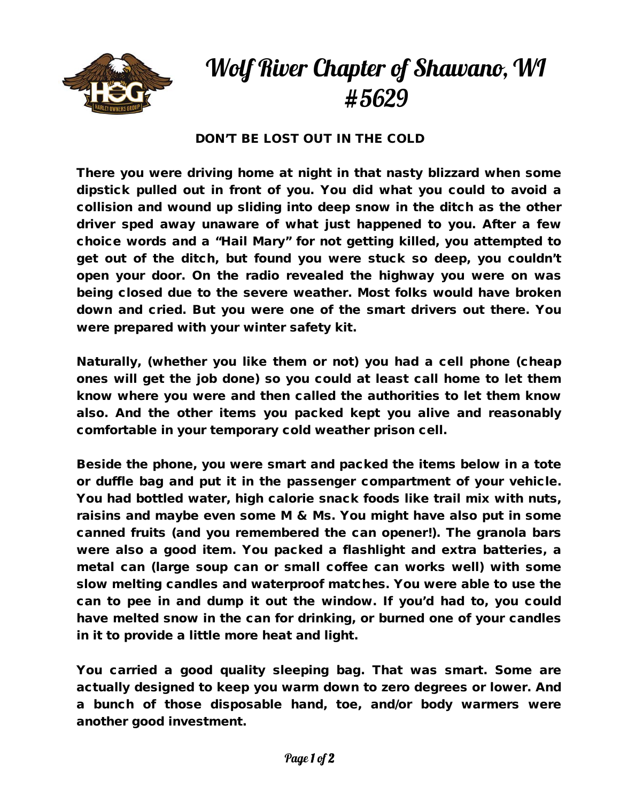

## Wolf River Chapter of Shawano, WI #5629

## DON'T BE LOST OUT IN THE COLD

There you were driving home at night in that nasty blizzard when some dipstick pulled out in front of you. You did what you could to avoid a collision and wound up sliding into deep snow in the ditch as the other driver sped away unaware of what just happened to you. After a few choice words and a "Hail Mary" for not getting killed, you attempted to get out of the ditch, but found you were stuck so deep, you couldn't open your door. On the radio revealed the highway you were on was being closed due to the severe weather. Most folks would have broken down and cried. But you were one of the smart drivers out there. You were prepared with your winter safety kit.

Naturally, (whether you like them or not) you had a cell phone (cheap ones will get the job done) so you could at least call home to let them know where you were and then called the authorities to let them know also. And the other items you packed kept you alive and reasonably comfortable in your temporary cold weather prison cell.

Beside the phone, you were smart and packed the items below in a tote or duffle bag and put it in the passenger compartment of your vehicle. You had bottled water, high calorie snack foods like trail mix with nuts, raisins and maybe even some M & Ms. You might have also put in some canned fruits (and you remembered the can opener!). The granola bars were also a good item. You packed a flashlight and extra batteries, a metal can (large soup can or small coffee can works well) with some slow melting candles and waterproof matches. You were able to use the can to pee in and dump it out the window. If you'd had to, you could have melted snow in the can for drinking, or burned one of your candles in it to provide a little more heat and light.

You carried a good quality sleeping bag. That was smart. Some are actually designed to keep you warm down to zero degrees or lower. And a bunch of those disposable hand, toe, and/or body warmers were another good investment.